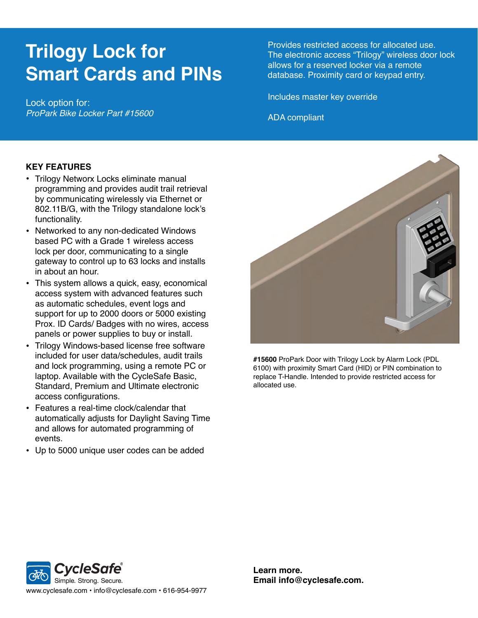## **Trilogy Lock for Smart Cards and PINs**

Lock option for: *ProPark Bike Locker Part #15600* Provides restricted access for allocated use. The electronic access "Trilogy" wireless door lock allows for a reserved locker via a remote database. Proximity card or keypad entry.

Includes master key override

ADA compliant

## **KEY FEATURES**

- Trilogy Networx Locks eliminate manual programming and provides audit trail retrieval by communicating wirelessly via Ethernet or 802.11B/G, with the Trilogy standalone lock's functionality.
- Networked to any non-dedicated Windows based PC with a Grade 1 wireless access lock per door, communicating to a single gateway to control up to 63 locks and installs in about an hour.
- This system allows a quick, easy, economical access system with advanced features such as automatic schedules, event logs and support for up to 2000 doors or 5000 existing Prox. ID Cards/ Badges with no wires, access panels or power supplies to buy or install.
- Trilogy Windows-based license free software included for user data/schedules, audit trails and lock programming, using a remote PC or laptop. Available with the CycleSafe Basic, Standard, Premium and Ultimate electronic access configurations.
- Features a real-time clock/calendar that automatically adjusts for Daylight Saving Time and allows for automated programming of events.
- Up to 5000 unique user codes can be added



**#15600** ProPark Door with Trilogy Lock by Alarm Lock (PDL 6100) with proximity Smart Card (HID) or PIN combination to replace T-Handle. Intended to provide restricted access for allocated use.



**Learn more. Email info@cyclesafe.com.**